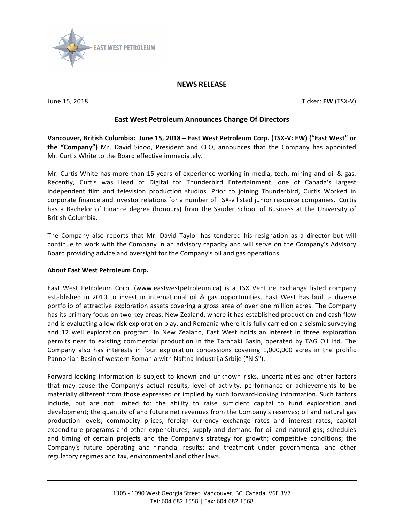

## **NEWS RELEASE**

**June 15, 2018** Ticker: **EW** (TSX-V)

## **East West Petroleum Announces Change Of Directors**

Vancouver, British Columbia: June 15, 2018 - East West Petroleum Corp. (TSX-V: EW) ("East West" or **the "Company")** Mr. David Sidoo, President and CEO, announces that the Company has appointed Mr. Curtis White to the Board effective immediately.

Mr. Curtis White has more than 15 years of experience working in media, tech, mining and oil & gas. Recently, Curtis was Head of Digital for Thunderbird Entertainment, one of Canada's largest independent film and television production studios. Prior to joining Thunderbird, Curtis Worked in corporate finance and investor relations for a number of TSX-v listed junior resource companies. Curtis has a Bachelor of Finance degree (honours) from the Sauder School of Business at the University of British Columbia.

The Company also reports that Mr. David Taylor has tendered his resignation as a director but will continue to work with the Company in an advisory capacity and will serve on the Company's Advisory Board providing advice and oversight for the Company's oil and gas operations.

## **About East West Petroleum Corp.**

East West Petroleum Corp. (www.eastwestpetroleum.ca) is a TSX Venture Exchange listed company established in 2010 to invest in international oil & gas opportunities. East West has built a diverse portfolio of attractive exploration assets covering a gross area of over one million acres. The Company has its primary focus on two key areas: New Zealand, where it has established production and cash flow and is evaluating a low risk exploration play, and Romania where it is fully carried on a seismic surveying and 12 well exploration program. In New Zealand, East West holds an interest in three exploration permits near to existing commercial production in the Taranaki Basin, operated by TAG Oil Ltd. The Company also has interests in four exploration concessions covering 1,000,000 acres in the prolific Pannonian Basin of western Romania with Naftna Industrija Srbije ("NIS").

Forward-looking information is subject to known and unknown risks, uncertainties and other factors that may cause the Company's actual results, level of activity, performance or achievements to be materially different from those expressed or implied by such forward-looking information. Such factors include, but are not limited to: the ability to raise sufficient capital to fund exploration and development; the quantity of and future net revenues from the Company's reserves; oil and natural gas production levels; commodity prices, foreign currency exchange rates and interest rates; capital expenditure programs and other expenditures; supply and demand for oil and natural gas; schedules and timing of certain projects and the Company's strategy for growth; competitive conditions; the Company's future operating and financial results; and treatment under governmental and other regulatory regimes and tax, environmental and other laws.